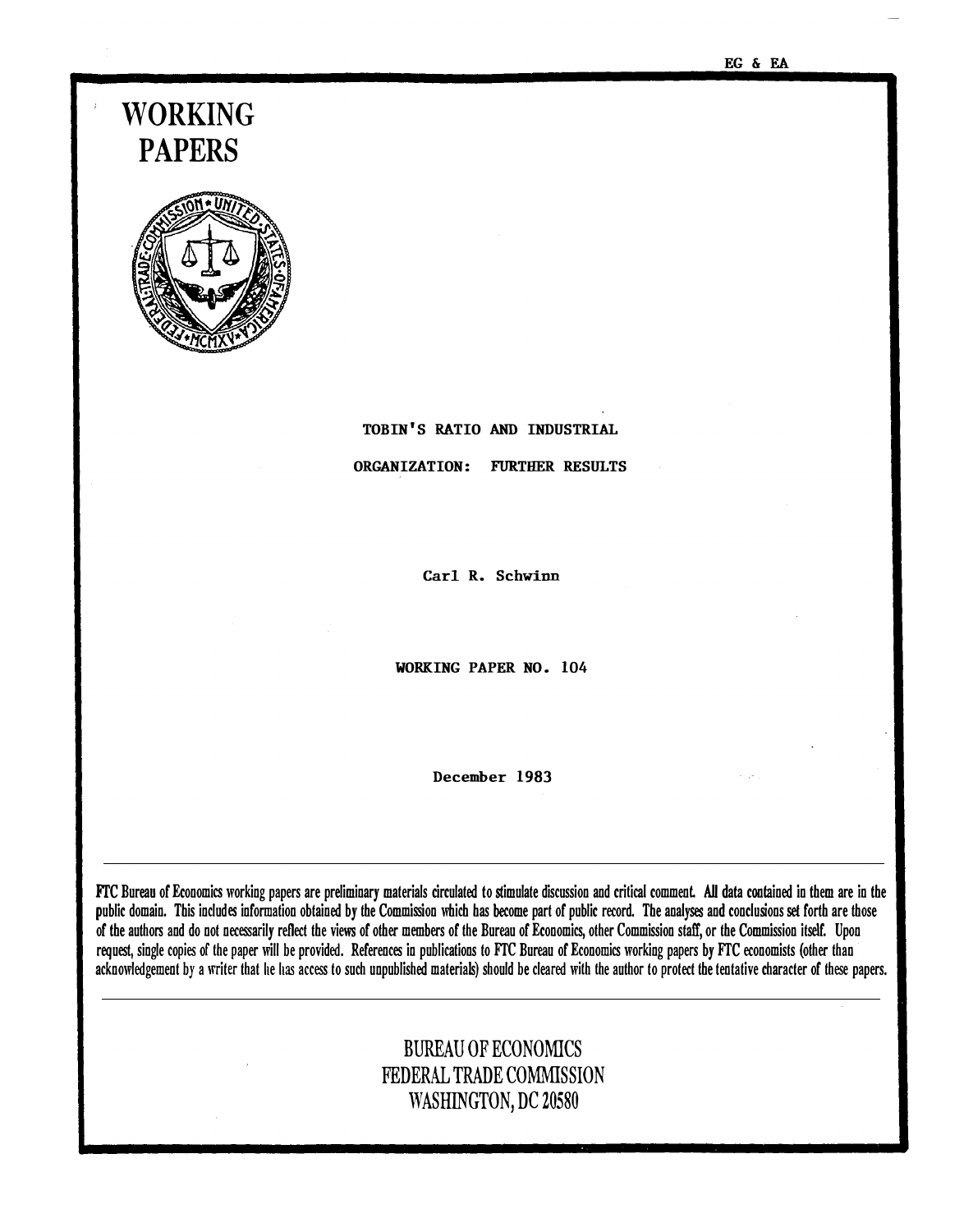#### EG & EA

# WORKING PAPERS



# TOBIN'S RATIO AND INDUSTRIAL ORGANIZATION: FURTHER RESULTS

Carl R. Schwinn

WORKING PAPER NO. 104

December 1983

FTC Bureau of Economics working papers are preliminary materials circulated to stimulate discussion and critical comment. All data contained in them are in the public domain. This includes information obtained by the Commission which has become part of public record. The analyses and conclusions set forth are those of the authors and do not necessarily reflect the views of other members of the Bureau of Economics, other Commission staff, or the Commission itself. Upon request, single copies of the paper will be provided. References in publications to FTC Bureau of Economics working papers by FTC economists (other than acknowledgement by a writer that he has access to such unpublished materials) should be cleared with the author to protect the tentative character of these papers.

# BUREAU OF ECONOMICS FEDERAL TRADE COMMISSION WASHINGTON, DC 20580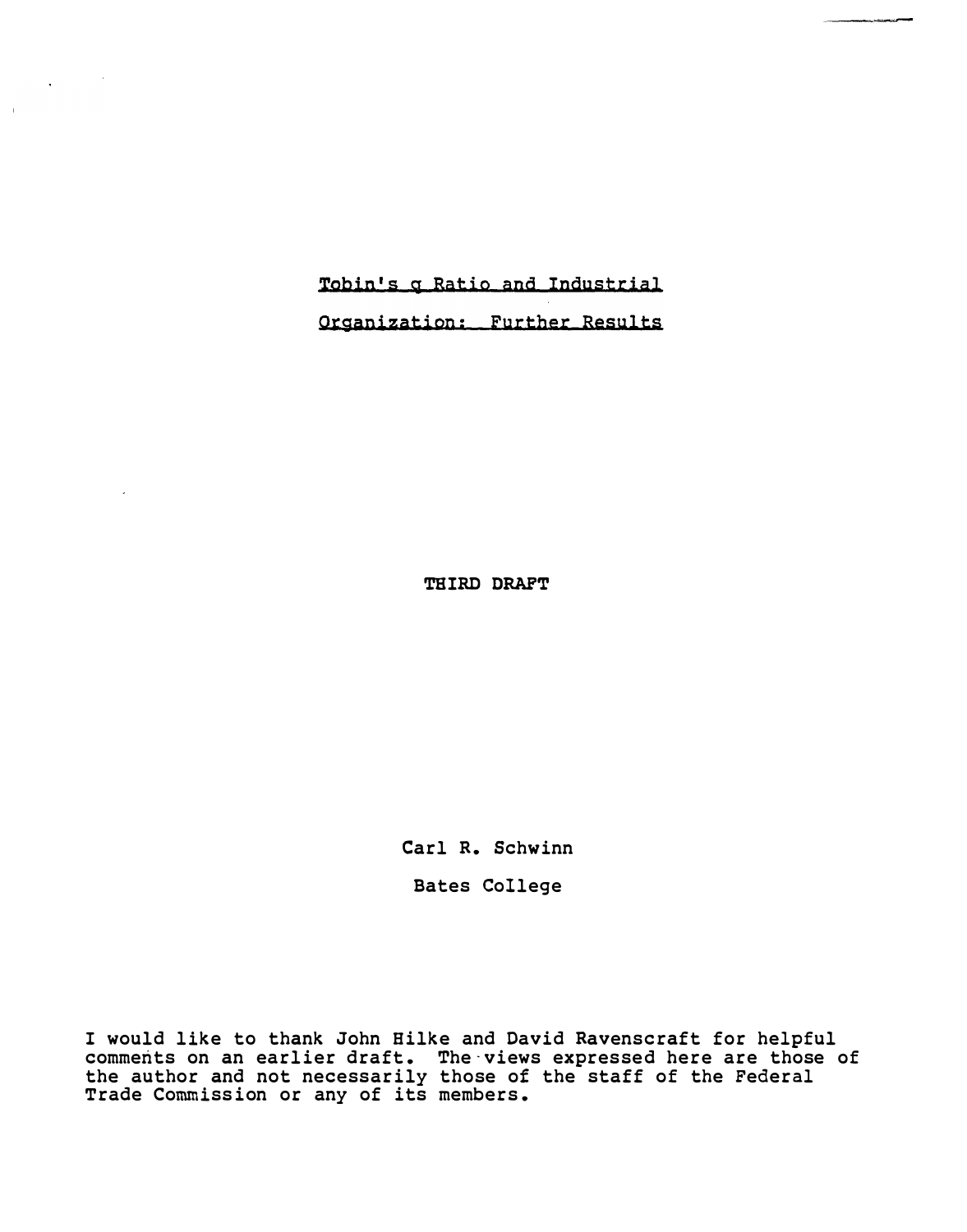Tobin's g Ratio and Industrial

 $\sim$   $\sim$ 

Organization; Further Results

THIRD DRAFT

Carl R. Schwinn

Bates College

I would like to thank John Hilke and David Ravenscraft for helpful comments on an earlier draft. The views expressed here are those of the author and not necessarily those of the staff of the Federal Trade Commission or any of its members.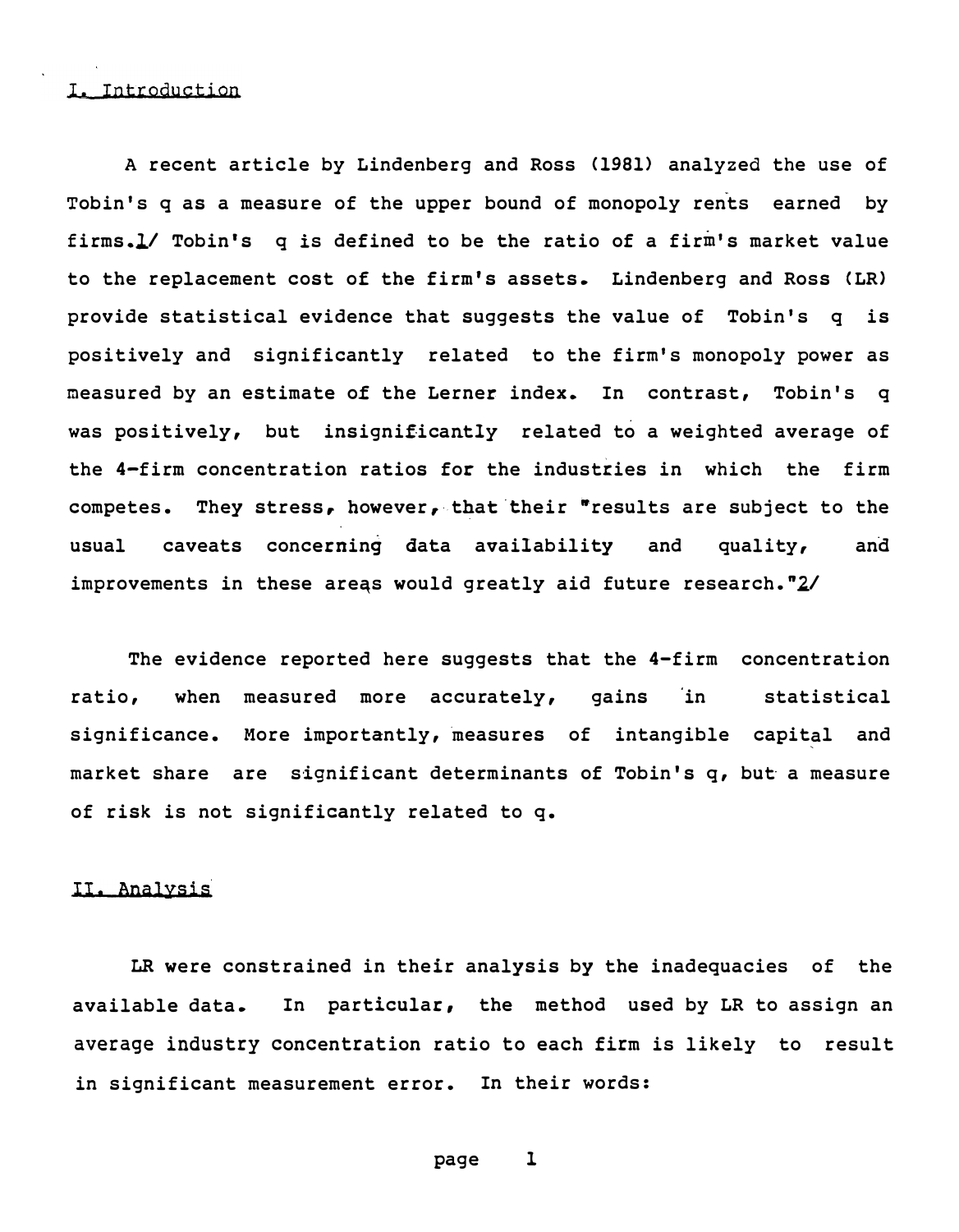#### I. Introduction

A recent article by Lindenberg and Ross (1981) analyzed the use of Tobin's q as a measure of the upper bound of monopoly rents earned by firms.l/ Tobin's q is defined to be the ratio of a firm's market value to the replacement cost of the firm's assets. Lindenberg and Ross CLR) provide statistical evidence that suggests the value of Tobin's q is positively and significantly related to the firm's monopoly power as measured by an estimate of the Lerner index. In contrast, Tobin's q was positively, but insignificantly related to a weighted average of the 4-firm concentration ratios for the industries in which the firm competes. They stress, however, that their "results are subject to the usual caveats concerning data availability and quality, and improvements in these areas would greatly aid future research.  $2/$ 

The evidence reported here suggests that the 4-firm concentration ratio, when measured more accurately, gains in statistical significance. More importantly, measures of intangible capital and market share are significant determinants of Tobin's q, but a measure of risk is not significantly related to q.

#### II. Analysis

LR were constrained in their analysis by the inadequacies of the available data. In particular, the method used by LR to assign an average industry concentration ratio to each firm is likely to result in significant measurement error. In their words: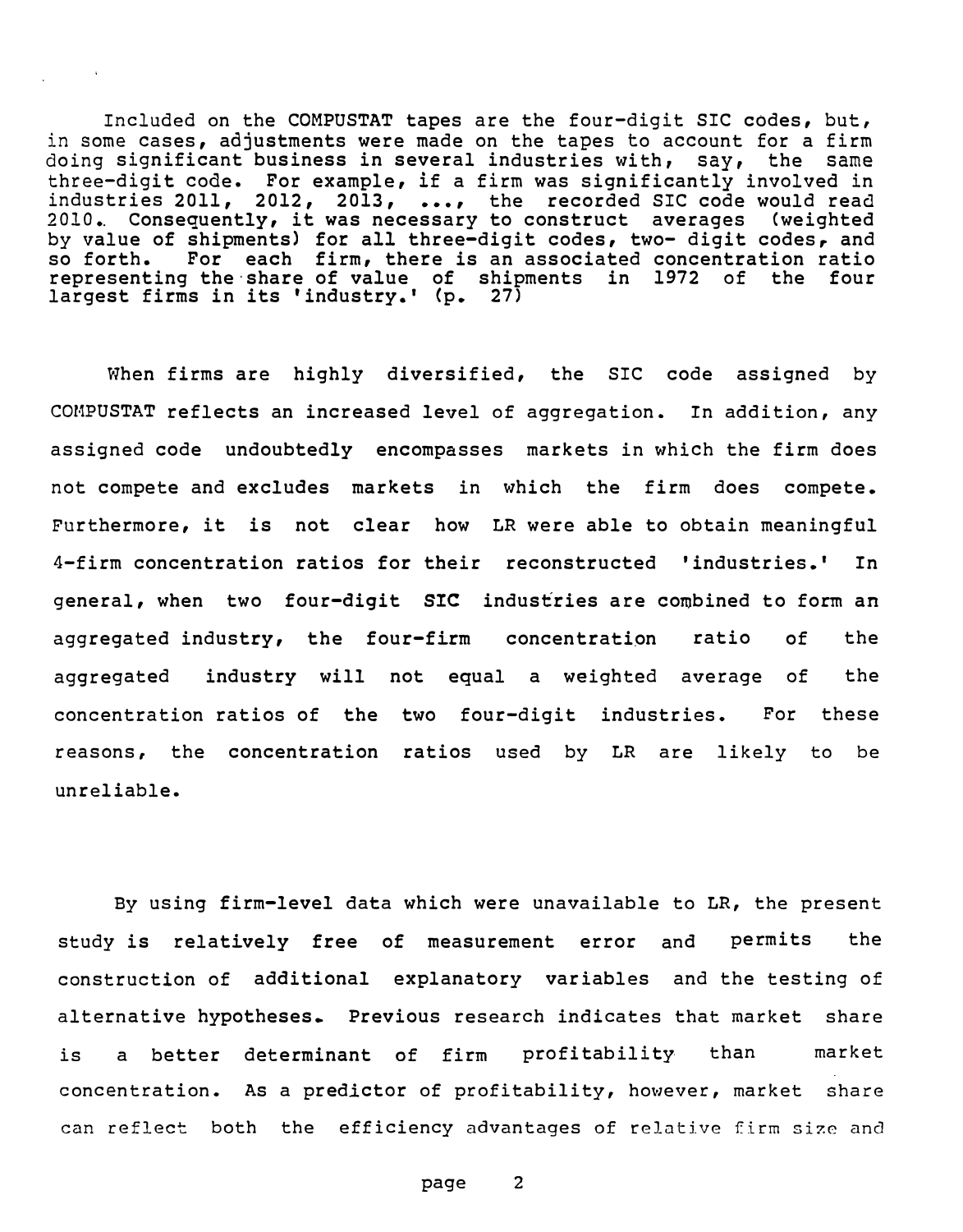Included on the COMPUSTAT tapes are the four-digit SIC codes, but, in some cases, adjustments were made on the tapes to account for a firm doing significant business in several industries with, say, the same thr ee-digit code. For example, if a firm was significantly involved in industries 2011, 2012, 2013, ••• , the recorded SIC code would read 2010.. Consequently, it was necessary to construct averages <weighted by value of shipments) for all three-digit codes, two- digit codes, and so forth. For each firm, there is an associated concentration ratio representing the·share of value of shipments in 1972 of the four largest firms in its 'industry.' (p. 27)

When firms are highly diversified, the SIC code assigned by COMPUSTAT reflects an increased level of aggregation. In addition, any assigned code undoubtedly encompasses markets in which the firm does not compete and excludes markets in which the firm does compete. Furthermore, it is not clear how LR were able to obtain meaningful 4-firm concentration ratios for their reconstructed 'industries.' In general, when two four-digit SIC industries are combined to form an aggregated industry, the four-firm concentration ratio of the aggregated industry will not equal a weighted average of the concentration ratios of the two four-digit industries. For these reasons, the concentration ratios used by LR are likely to be unreliable .

By using firm-level data which were unavailable to LR, the present study is relatively free of measurement error and permits the construction of additional explanatory variables and the testing of alternative hypotheses. Previous research indicates that market share is a better determinant of firm profitability than market concentration. As a predictor of profitability, however, market share can reflect both the efficiency advantages of relative firm size and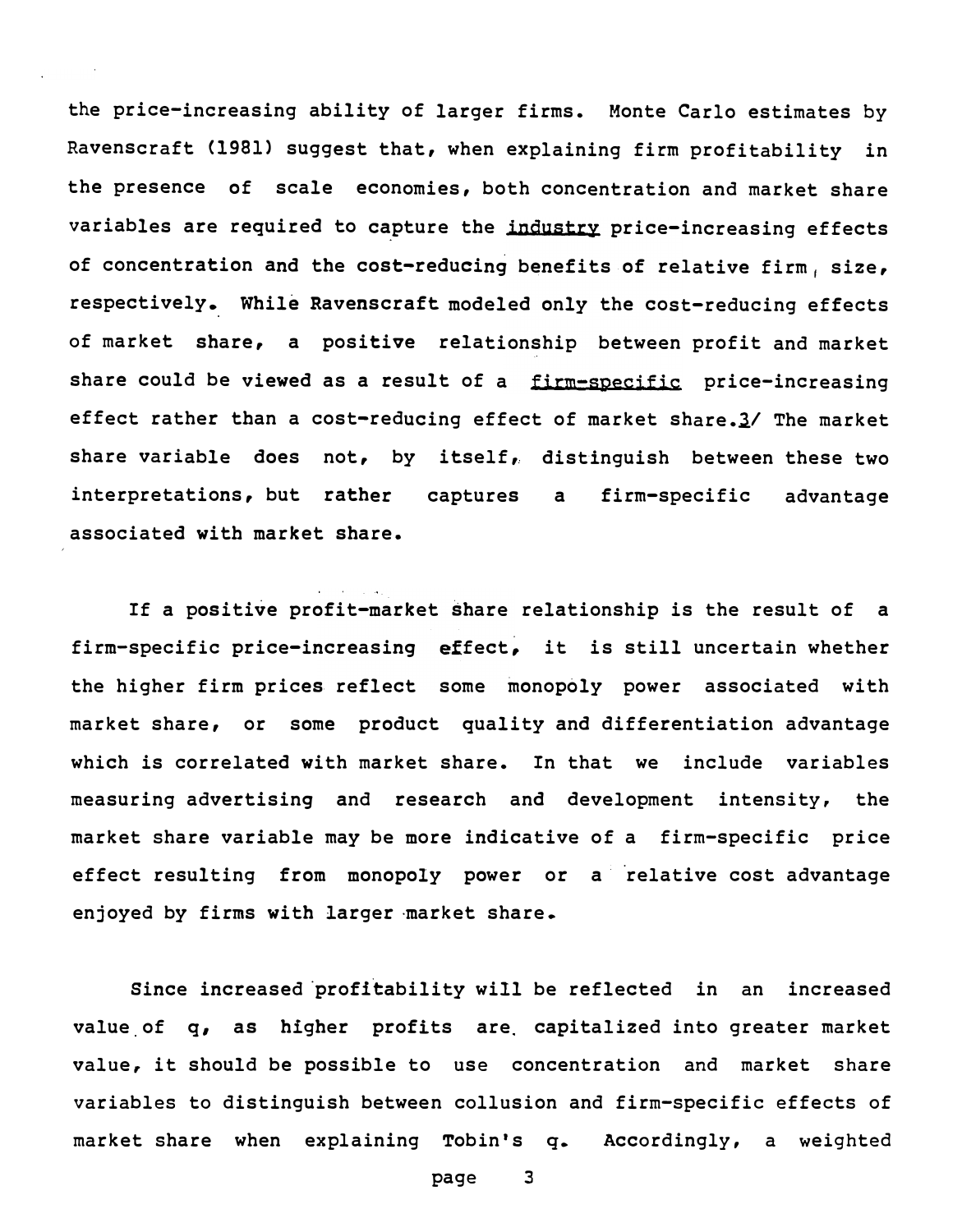variables are required to capture the <u>industry</u> price-increasing effects share could be viewed as a result of a <u>firm-specific</u> price-increasing the price-increasing ability of larger firms. Monte Carlo estimates by Ravenscraft (1981) suggest that, when explaining firm profitability in the presence of scale economies, both concentration and market share of concentration and the cost-reducing benefits of relative firm, size, respectively. While Ravenscraft modeled only the cost-reducing effects of market share, a positive relationship between profit and market effect rather than a cost-reducing effect of market share. $3/$  The market share variable does not, by itself, distinguish between these two interpretations, but rather captures a firm-specific advantage associated with market share.

If a positive profit-market share relationship is the result of a firm-specific price-increasing effect, it is still uncertain whether the higher firm prices reflect some monopoly power associated with market share, or some product quality and differentiation advantage which is correlated with market share. In that we include variables measuring advertising and research and development intensity, the market share variable may be more indicative of a firm-specific price effect resulting from monopoly power or a relative cost advantage enjoyed by firms with larger market share.

Since increased profitability will be reflected in an increased value of q, as higher profits are capitalized into greater market value, it should be possible to use concentration and market share variables to distinguish between collusion and firm-specific effects of market share when explaining Tobin's q. Accordingly, a weighted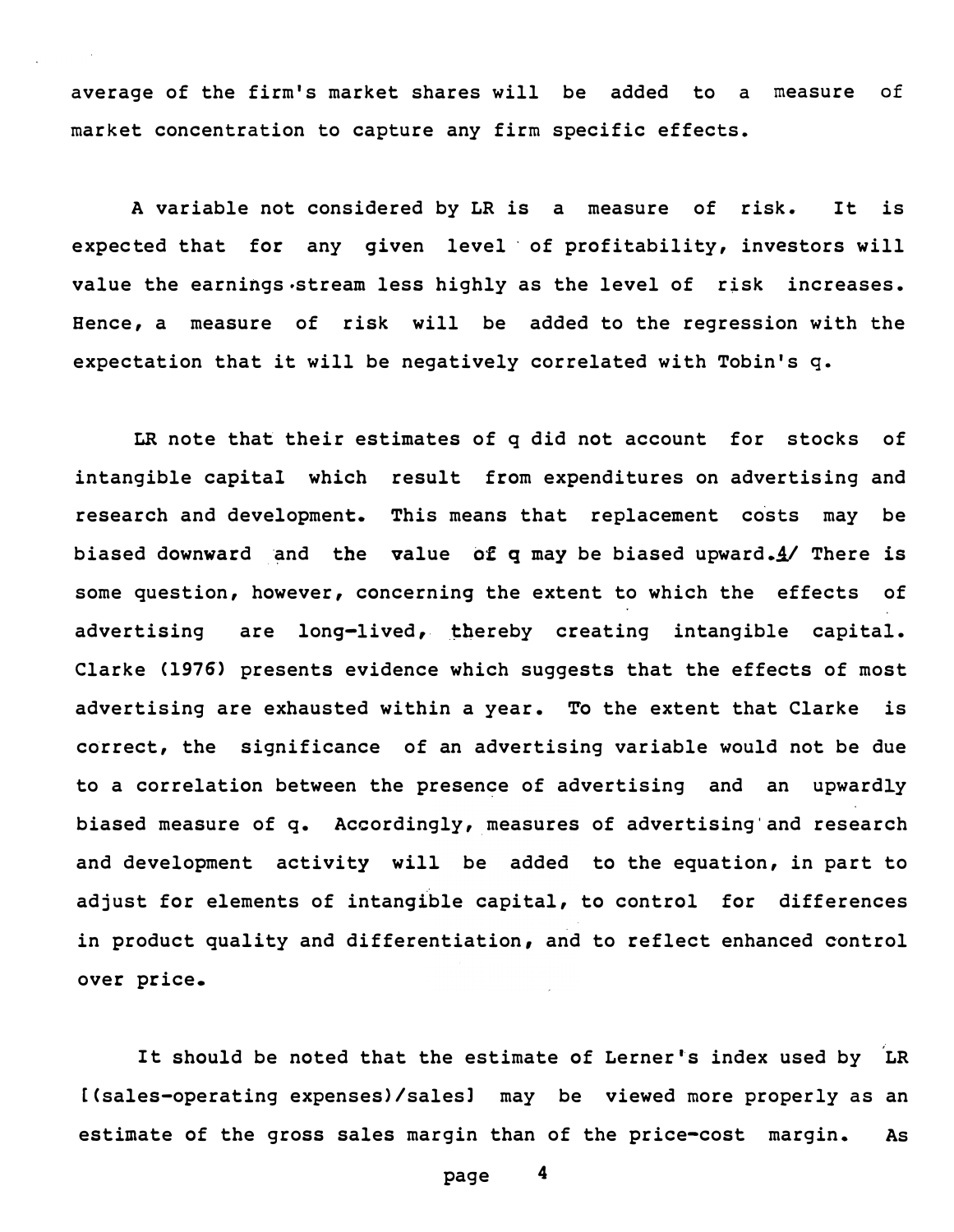average of the firm's market shares will be added to a measure of market concentration to capture any firm specific effects.

A variable not considered by LR is a measure of risk. It is expected that for any given level of profitability, investors will value the earnings.stream less highly as the level of risk increases. Hence, a measure of risk will be added to the regression with the expectation that it will be negatively correlated with Tobin's q.

LR note that their estimates of q did not account for stocks of intangible capital which result from expenditures on advertising and research and development. This means that replacement costs may be biased downward and the value of  $q$  may be biased upward.  $4/$  There is some question, however, concerning the extent to which the effects of advertising are long-lived, thereby creating intangible capital. Clarke (1976) presents evidence which suggests that the effects of most advertising are exhausted within a year. To the extent that Clarke is correct, the significance of an advertising variable would not be due to a correlation between the presence of advertising and an upwardly biased measure of q. Accordingly, measures of advertising and research and development activity will be added to the equation, in part to adjust for elements of intangible capital, to control for differences in product quality and differentiation, and to reflect enhanced control over price.

It should be noted that the estimate of Lerner's index used by LR [ (sales-operating expenses)/ salesl may be viewed more properly as an estimate of the gross sales margin than of the price-cost margin. As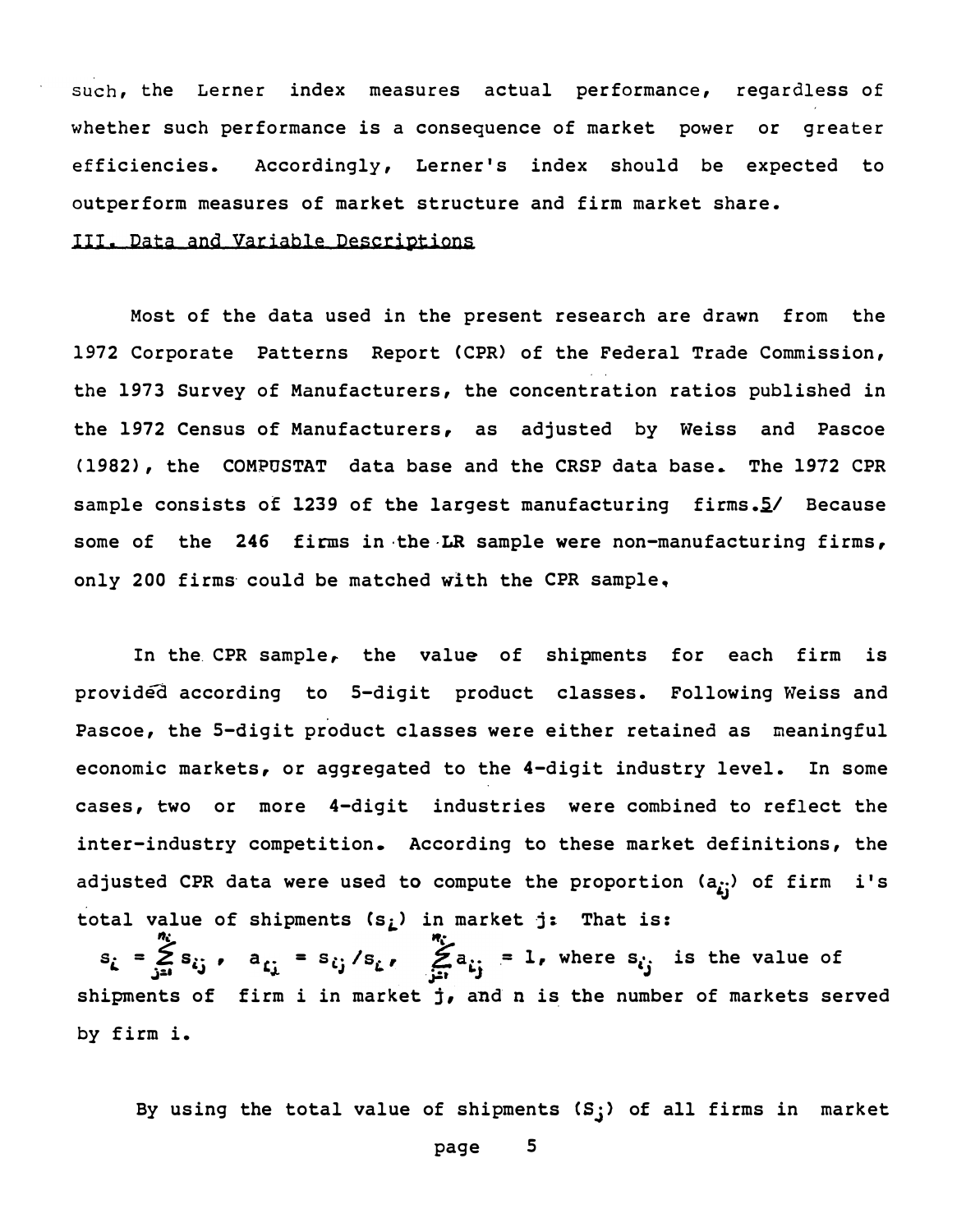such, the Lerner index measures actual performance, regardless of whether such performance is a consequence of market power or greater efficiencies. Accordingly, Lerner's index should be expected to outperform measures of market structure and firm market share.

## III. pata and Variable pescriptions

Most of the data used in the present research are drawn from the 1972 Corporate Patterns Report (CPR) of the Federal Trade Commission, the 1973 Survey of Manufacturers, the concentration ratios published in the 1972 Census of Manufacturers, as adjusted by Weiss and Pascoe (1982), the COMPOSTAT data base and the CRSP data base. The 1972 CPR sample consists of 1239 of the largest manufacturing firms.<sup>5</sup>/ Because some of the 246 firms in the LR sample were non-manufacturing firms, only 200 firms could be matched with the CPR sample.

In the. CPR sample, the value of shipments for each firm is provided according to 5-digit product classes. Following Weiss and Pascoe, the 5-digit product classes were either retained as meaningful economic markets, or aggregated to the 4-digit industry level. In some cases, two or more 4-digit industries were combined to reflect the inter-industry competition. According to these market definitions, the adjusted CPR data were used to compute the proportion  $(a_{i})$  of firm i's total value of shipments  $(s_i)$  in market j: That is:

%·  $a_{i,j} = s_{i,j}/s_{i,j}$ ,  $Z_{i,j}$  $s_i = \sum_{j=i}^{n_i} s_{ij}$ ,  $a_{ij} = s_{ij}/s_i$ ,  $\sum_{j=i}^{n_i} a_{ij} = 1$ , where  $s_{ij}$  is the value of shipments of firm i in market  $j$ , and n is the number of markets served by firm i.

By using the total value of shipments  $(S;)$  of all firms in market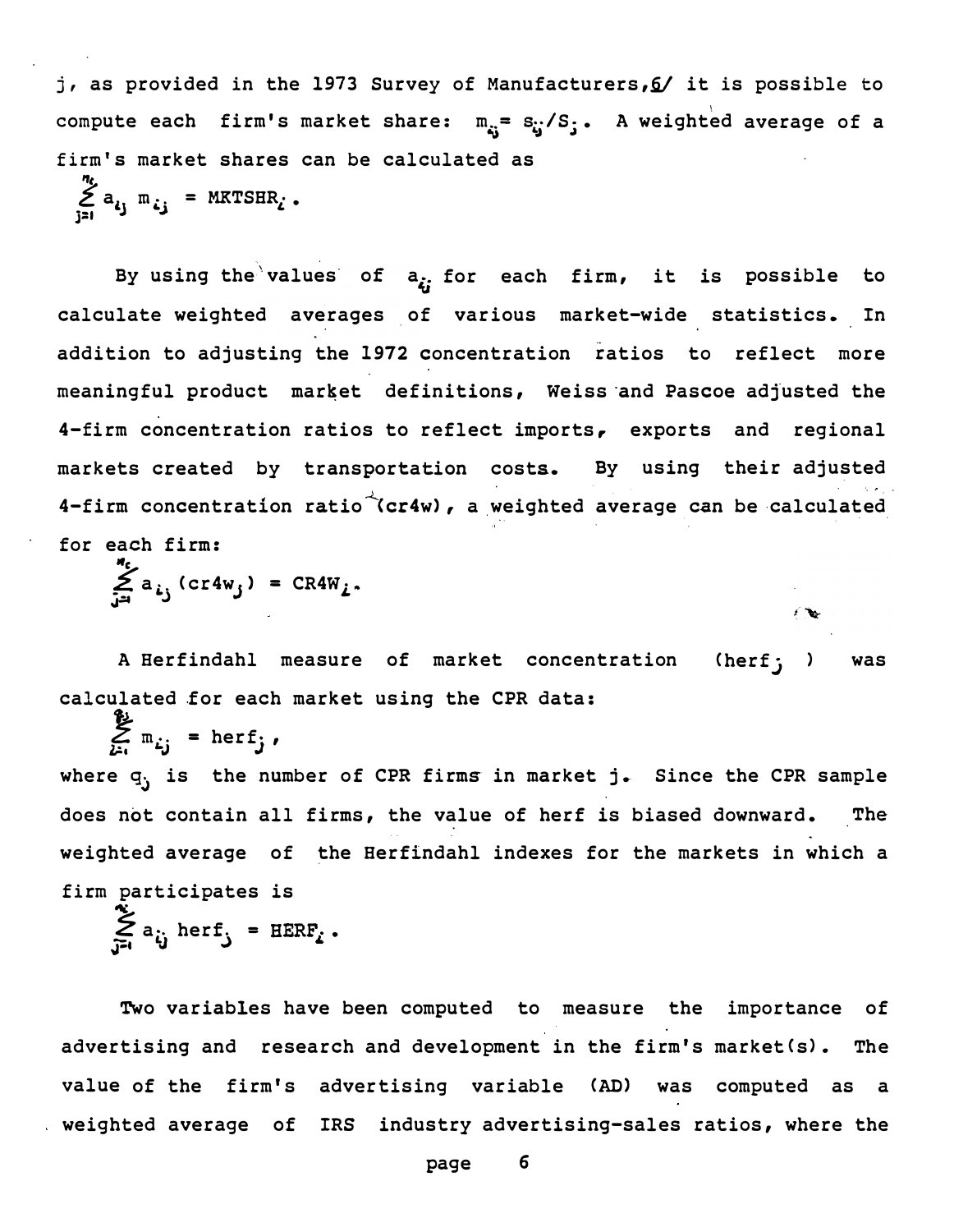j, as provided in the 1973 Survey of Manufacturers, 6/ it is possible to compute each firm's market share:  $m_{i,j} = s_{i,j}/S_j$ . A weighted average of a firm's market shares can be calculated as

'ft  $\sum_{j=i} a_{ij} m_{ij}$  = MKTSHR<sub>i</sub>.

By using the values of  $a_{\xi}$ ; for each firm, it is possible to calculate weighted averages of various market-wide statistics. In addition to adjusting the 1972 concentration ratios to reflect more meaningful product market definitions, Weiss and Pascoe adjusted the 4-firm concentration ratios to reflect imports, exports and regional markets created by transportation costs. By using their adjusted 4-firm concentration ratio  $\check{}\;$  (cr4w), a weighted average can be calculated for each firm:

"c ے a<br>تأ  $(cr4w_j) = CR4W_j$ .

A Herfindahl measure of market concentration (herf; ) was calculated for each market using the CPR data:

 $\sum_{i=1}^{N} m_{i}$  = herf<sub>j</sub>, where  $q_i$  is the number of CPR firms in market j. Since the CPR sample does not contain all firms, the value of herf is biased downward. The weighted average of the Herfindahl indexes for the markets in which a firm participates is

$$
\sum_{j=1}^{\infty} a_{ij} \text{ herf}_j = \text{EERF}_i.
$$

Two variables have been computed to measure the importance of advertising and research and development in the firm's market (s). The value of the firm's advertising variable (AD) was computed as a weighted average of IRS industry advertising-sales ratios, where the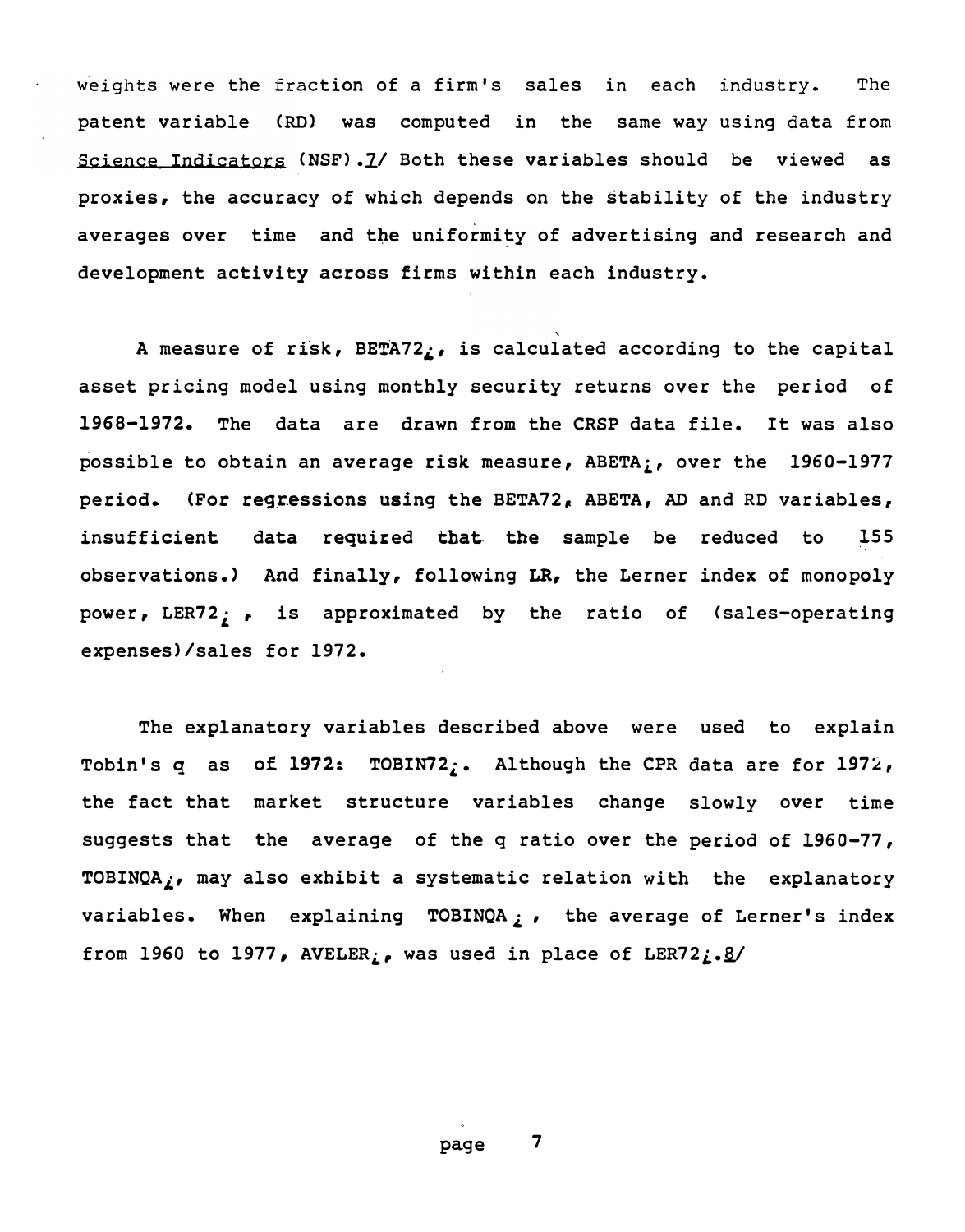Science Indicators (NSF). I/ Both these variables should be viewed as weights were the fraction of a firm's sales in each industry. The patent variable (RD) was computed in the same-way-using-data-from prox ies, the accuracy of which depends on the stability of the industry averages over time and tbe uniformity of advertising and research and development activity across firms within each industry.

A measure of risk, BETA72 $<sub>i</sub>$ , is calculated according to the capital</sub> asset pricing model using monthly security returns over the period of 1968-1972. The data are drawn from the CRSP data file. It was also possible to obtain an average risk measure,  $ABETA_i$ , over the 1960-1977 period. (For regressions using the BETA72, ABETA, AD and RD variables, insufficient data required that the sample be reduced to observations.) And finally, following LR, the Lerner index of monopoly power, LER72; , is approximated by the ratio of (sales-operating expenses)/sales for 1972. 155

The explanatory variables described above were used to explain Tobin's q as of 1972: TOBIN72;. Although the CPR data are for 1972, the fact that market structure variables change slowly over time suggests that the average of the q ratio over the period of 1960-77, TOBINQA $<sub>i</sub>$ , may also exhibit a systematic relation with the explanatory</sub> variables. When explaining TOBINQA  $\overline{L}$ , the average of Lerner's index from 1960 to 1977, AVELER<sub>i</sub>, was used in place of LER72<sub>i</sub>.<sup>g</sup>/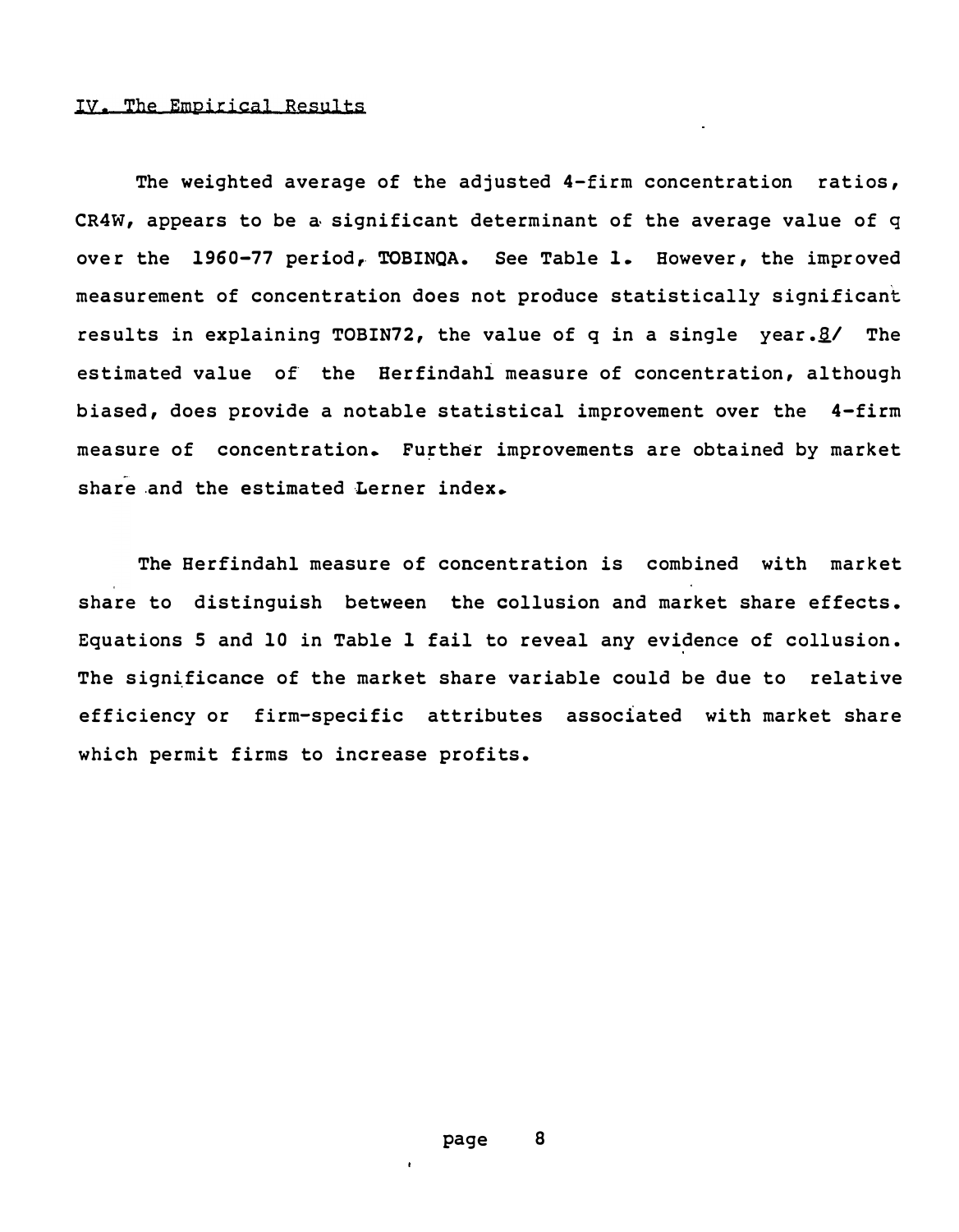The weighted average of the adjusted  $4$ -firm concentration ratios, CR4W, appears to be a significant determinant of the average value of  $q$ over the 1960-77 period, TOBINQA. See Table 1. However, the improved measurement of concentration does not produce statistically signi£icant results in explaining TOBIN72, the value of q in a single year. $\mathcal{B}/$  The estimated value of the Herfindahl measure of concentration, although biased, does provide a notable statistical improvement over the 4-firm measure of concentration. Further improvements are obtained by market share and the estimated Lerner index.

The Herfindahl measure of concentration is combined with market share to distinguish between the collusion and market share effects. Equations 5 and 10 in Table 1 fail to reveal any evidence of collusion. The significance of the market share variable could be due to relative efficiency or firm-specific attributes associated with market share which permit firms to increase profits.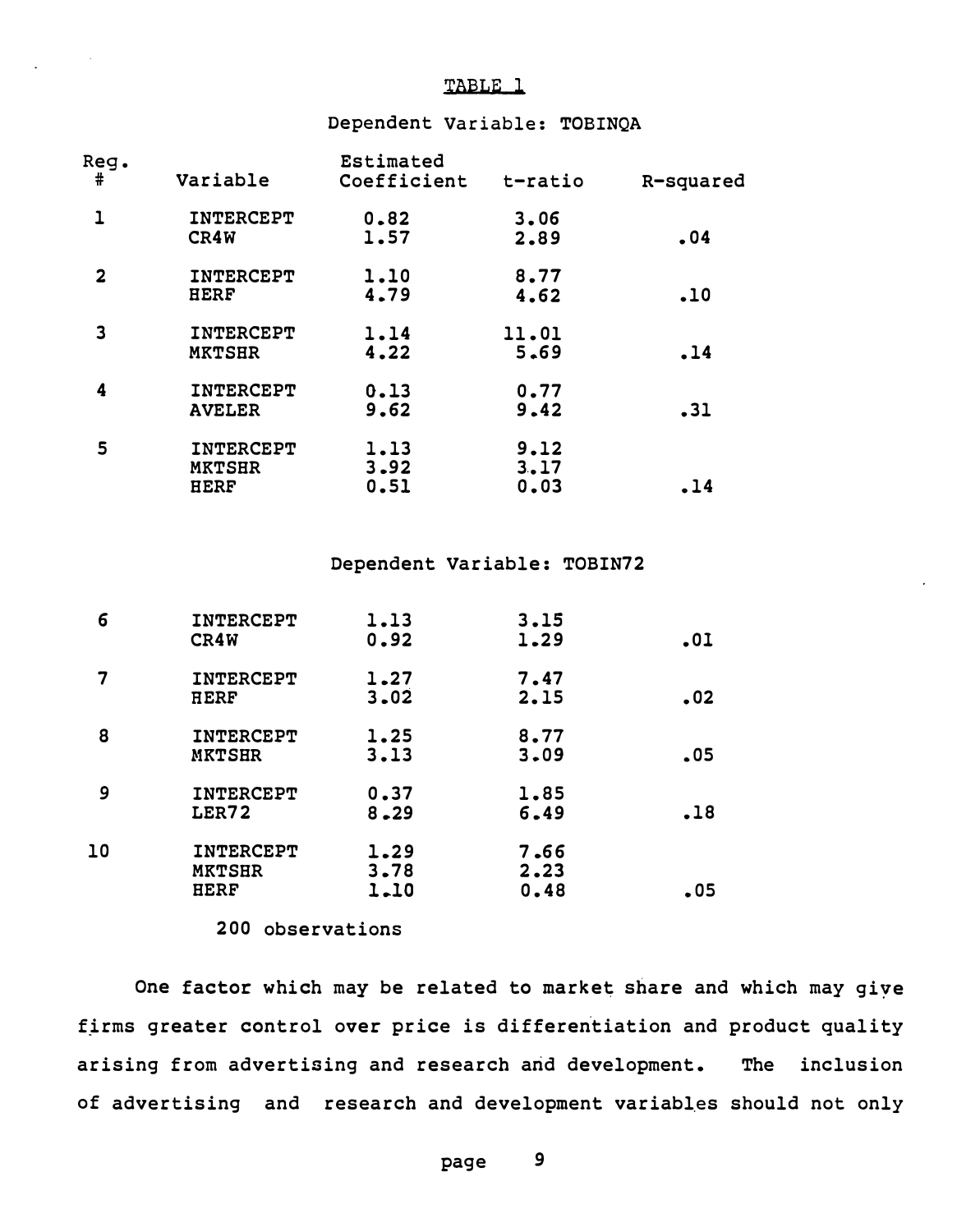## TABLE 1

#### Dependent Variable: TOBINQA

| Reg.         |                                           | Estimated            |                      |           |
|--------------|-------------------------------------------|----------------------|----------------------|-----------|
| #            | Variable                                  | Coefficient          | t-ratio              | R-squared |
| $\mathbf{1}$ | INTERCEPT<br>CR4W                         | 0.82<br>1.57         | 3.06<br>2.89         | .04       |
| $\mathbf{2}$ | INTERCEPT                                 | 1.10                 | 8.77                 |           |
|              | <b>HERF</b>                               | 4.79                 | 4.62                 | .10       |
| 3            | INTERCEPT<br><b>MKTSHR</b>                | 1.14<br>4.22         | 11.01<br>5.69        | .14       |
| 4            | INTERCEPT<br><b>AVELER</b>                | 0.13<br>9.62         | 0.77<br>9.42         | .31       |
| 5            | INTERCEPT<br><b>MKTSHR</b><br><b>HERF</b> | 1.13<br>3.92<br>0.51 | 9.12<br>3.17<br>0.03 | .14       |

 $\sim 10^{11}$  k

#### Dependent Variable: TOBIN72

| 6  | INTERCEPT<br>CR4W                                | 1.13<br>0.92         | 3.15<br>1.29         | .01 |
|----|--------------------------------------------------|----------------------|----------------------|-----|
|    | INTERCEPT<br><b>HERF</b>                         | 1.27<br>3.02         | 7.47<br>2.15         | .02 |
| 8  | INTERCEPT<br><b>MKTSHR</b>                       | 1.25<br>3.13         | 8.77<br>3.09         | .05 |
| 9  | INTERCEPT<br>LER72                               | 0.37<br>$8 - 29$     | 1.85<br>6.49         | .18 |
| 10 | <b>INTERCEPT</b><br><b>MKTSHR</b><br><b>HERF</b> | 1.29<br>3.78<br>1.10 | 7.66<br>2.23<br>0.48 | .05 |

200 observations

One factor which may be related to market share and which may give firms greater control over price is differentiation and product quality arising from advertising and research and development. The inclusion of advertising and research and development variables should not only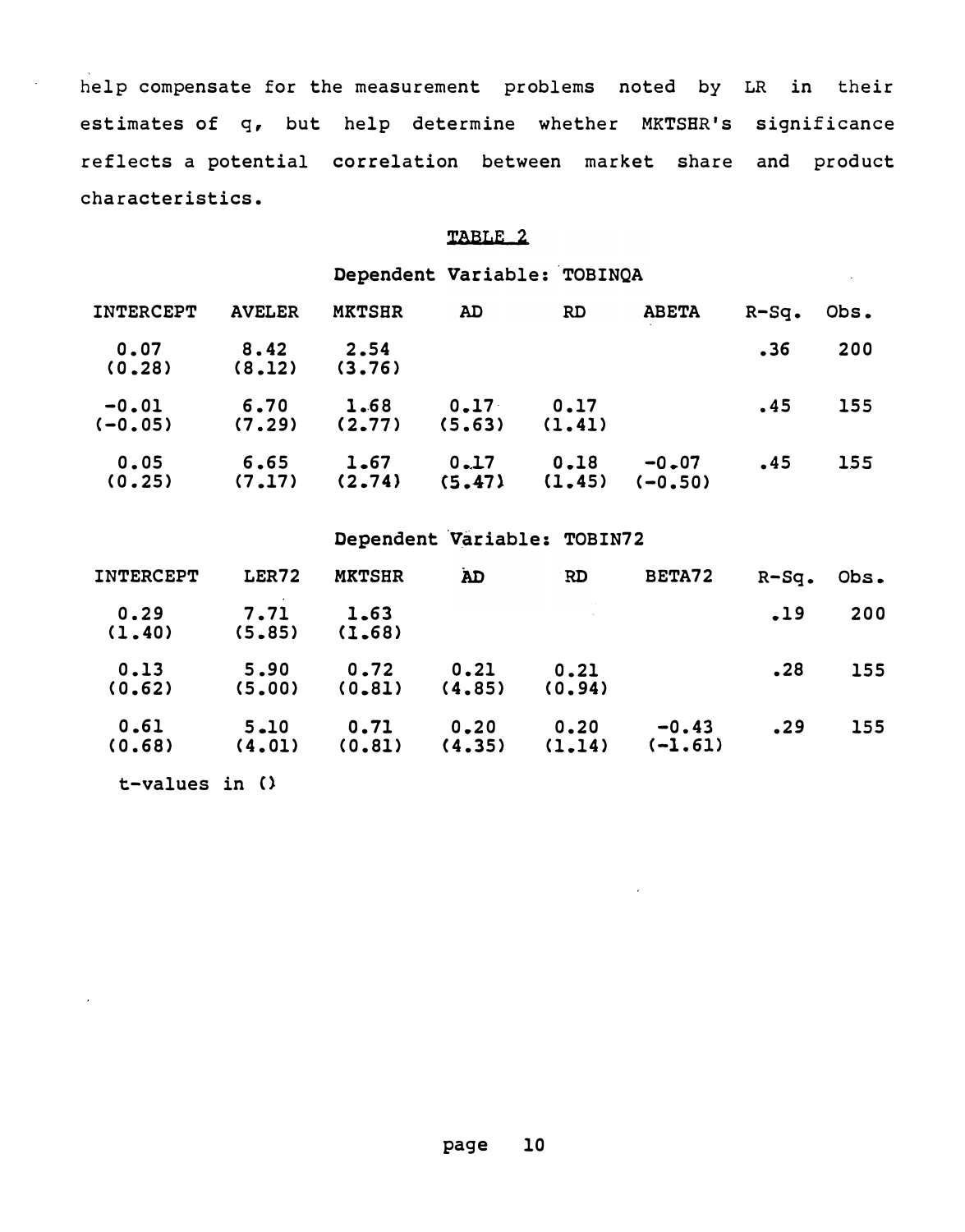help compensate for the measurement problems noted by LR in their estimates of q, but help determine whether MKTSHR's significance reflects a potential correlation between market share and product characteristics.

## TABLE 2

Dependent Variable: TOBINQA

| INTERCEPT            | <b>AVELER</b>  | <b>MKTSHR</b>   | AD.                         | RD.            | <b>ABETA</b>         | $R-Sq.$ | Obs. |
|----------------------|----------------|-----------------|-----------------------------|----------------|----------------------|---------|------|
| 0.07<br>(0.28)       | 8.42<br>(8.12) | 2.54<br>(3, 76) |                             |                |                      | .36     | 200  |
| $-0.01$<br>$(-0.05)$ | 6.70<br>(7.29) | 1.68<br>(2, 77) | 0.17<br>(5, 63)             | 0.17<br>(1.41) |                      | .45     | 155  |
| 0.05<br>(0.25)       | 6.65<br>(7.17) | 1.67<br>(2.74)  | 0.17<br>$(5, 47)$ $(1, 45)$ | 0.18           | $-0.07$<br>$(-0.50)$ | .45     | 155  |

## Dependent Variable: TOBIN72

| <b>INTERCEPT</b> | LER72              | <b>MKTSHR</b>   | <b>AD</b>       | RD.            | BETA72               | $R-Sq$ . | Obs. |
|------------------|--------------------|-----------------|-----------------|----------------|----------------------|----------|------|
| 0.29<br>(1.40)   | 7.71<br>(5, 85)    | 1.63<br>(1.68)  |                 |                |                      | .19      | 200  |
| 0.13<br>(0.62)   | 5.90<br>(5.00)     | 0.72<br>(0, 81) | 0.21<br>(4, 85) | 0.21<br>(0.94) |                      | .28      | 155  |
| 0.61<br>(0.68)   | $5 - 10$<br>(4.01) | 0.71<br>(0.81)  | 0.20<br>(4.35)  | 0.20<br>(1.14) | $-0.43$<br>$(-1.61)$ | .29      | 155  |
| t-values in $()$ |                    |                 |                 |                |                      |          |      |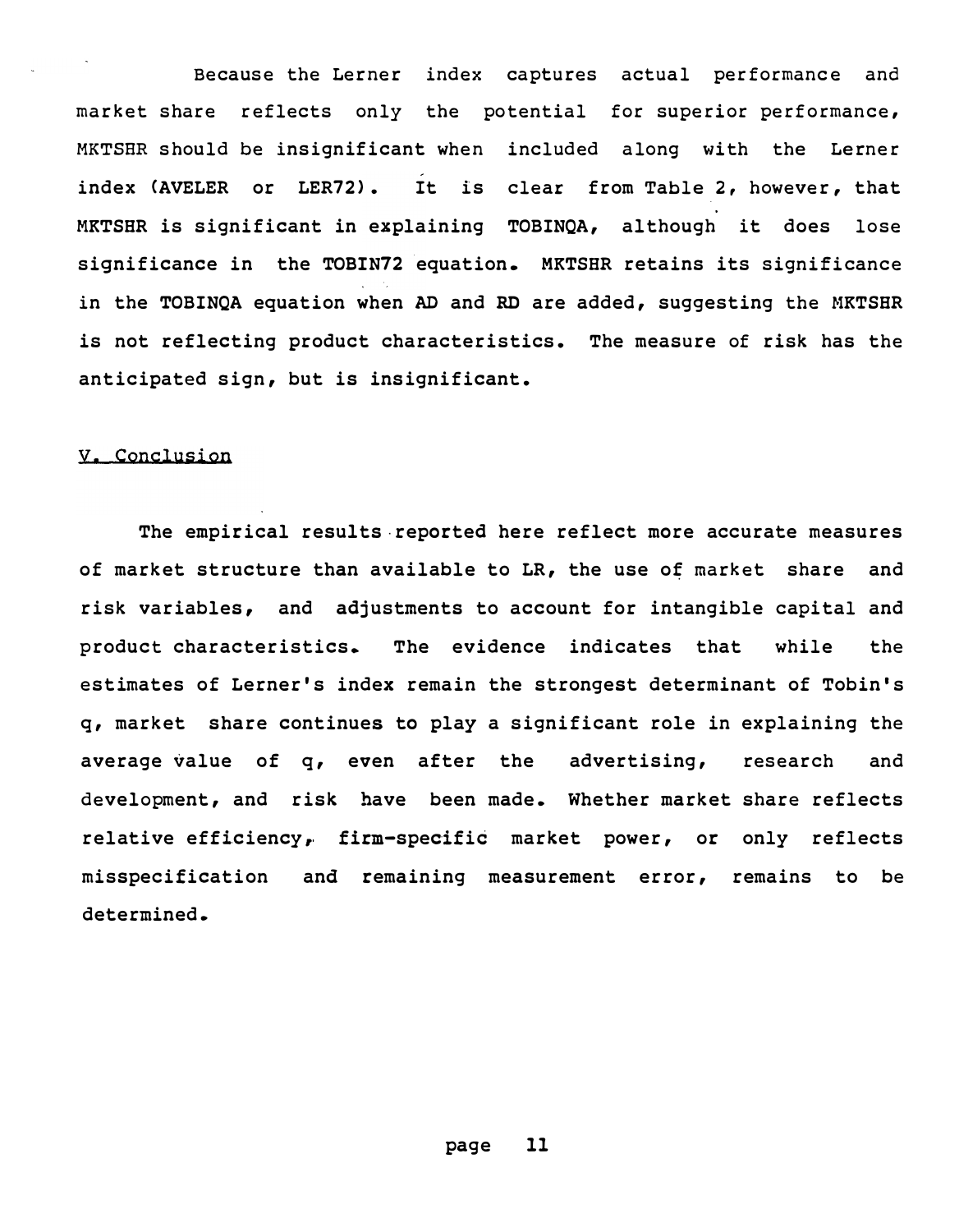Because the Lerner index captures actual performance and market share reflects only the potential for superior performance, MKTSER should be insignificant when included along with the Lerner index CAVELER or LER72). It is clear from Table 2, however, that MKTSHR is significant in explaining TOBINQA, although it does lose significance in the TOBIN72 equation. MKTSHR retains its significance in the TOBINQA equation when AD and RD are added, suggesting the MKTSHR is not reflecting product characteristics. The measure of risk has the anticipated sign, but is insignificant.

#### V, Conclusion

The empirical results reported here reflect more accurate measures of market structure than available to LR, the use of market share and risk variables, and adjustments to account for intangible capital and p roduct characteristics. The evidence indicates that while the estimates of Lerner's index remain the strongest determinant of Tobin's q, market share continues to play a significant role in explaining the average value of q, even after the advertising, research and development, and risk have been made. Whether market share reflects relative efficiency, firm-specific market power, or only reflects misspecification and remaining measurement error, remains to be determined.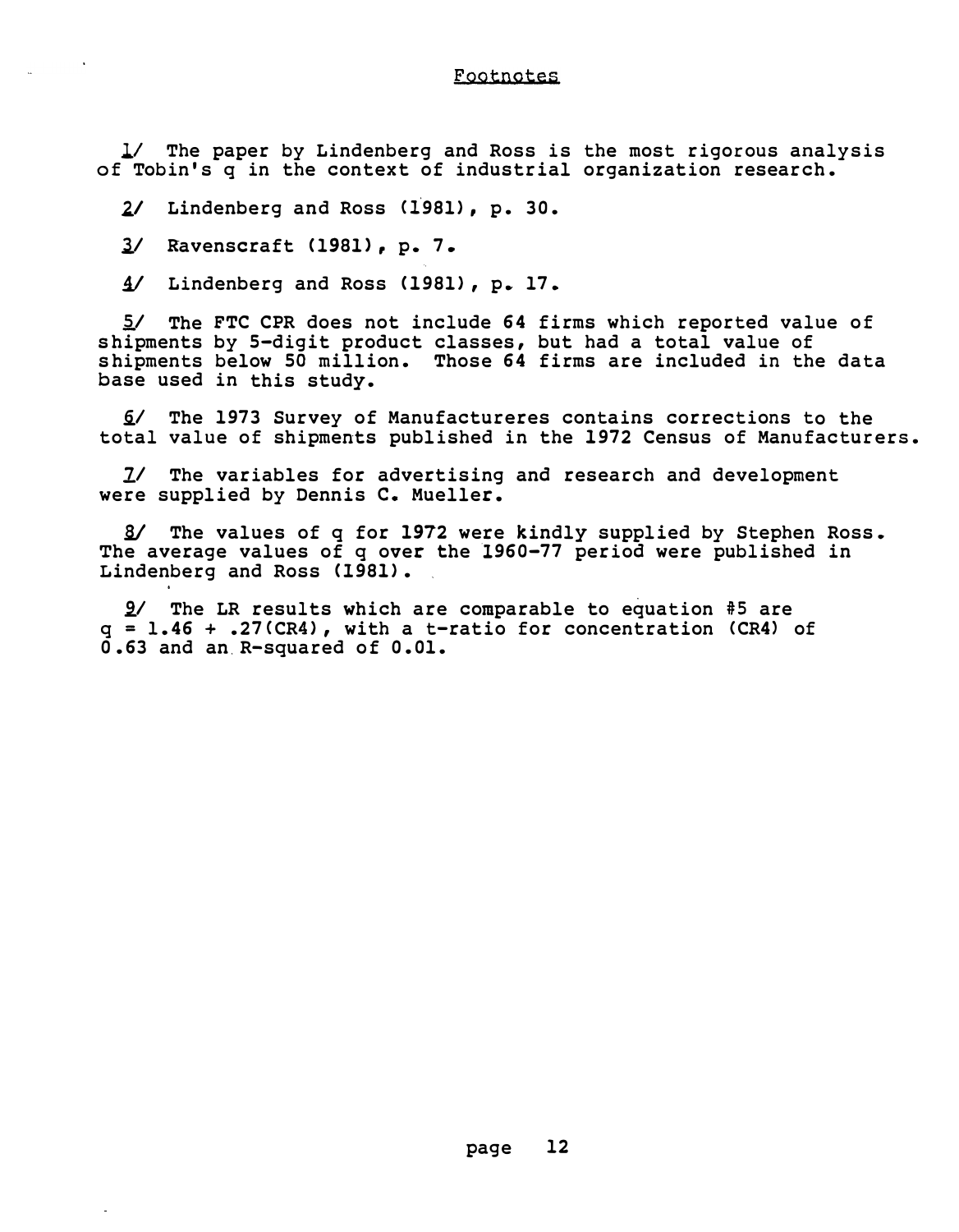Footnotes

1/ The paper by Lindenberg and Ross is the most rigorous analysis of Tobin's q in the context of industrial organization research.

2/ Lindenberg and Ross (1981), p. 30.

3/ Ravenscraft (1981), p. 7.

 $4/$  Lindenberg and Ross (1981), p. 17.

5/ The FTC CPR does not include 64 firms which reported value of s hipments by S-digit product classes, but had a total value of s hipments below SO million. Those 64 firms are included in the data base used in this study.

/ The 1973 Survey of Manufactureres contains corrections to the total value of shipments published in the 1972 Census of Manufacturers.

11 The variables for advertising and research and development were supplied by Dennis c. Mueller.

i/ The values of q for 1972 were kindly supplied by Stephen Ross. The average values of q over the 1960-77 period were published in Lindenberg and Ross (1981).

 $9/$  The LR results which are comparable to equation #5 are  $q = 1.46 + .27$  (CR4), with a t-ratio for concentration (CR4) of 0. 63 and an.R-squared of 0. 01.